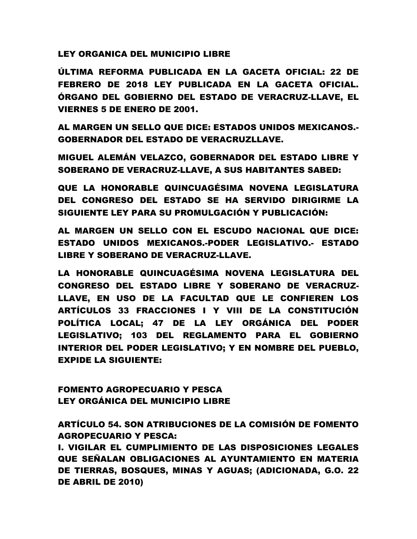LEY ORGANICA DEL MUNICIPIO LIBRE

ÚLTIMA REFORMA PUBLICADA EN LA GACETA OFICIAL: 22 DE FEBRERO DE 2018 LEY PUBLICADA EN LA GACETA OFICIAL. ÓRGANO DEL GOBIERNO DEL ESTADO DE VERACRUZ-LLAVE, EL VIERNES 5 DE ENERO DE 2001.

AL MARGEN UN SELLO QUE DICE: ESTADOS UNIDOS MEXICANOS.- GOBERNADOR DEL ESTADO DE VERACRUZLLAVE.

MIGUEL ALEMÁN VELAZCO, GOBERNADOR DEL ESTADO LIBRE Y SOBERANO DE VERACRUZ-LLAVE, A SUS HABITANTES SABED:

QUE LA HONORABLE QUINCUAGÉSIMA NOVENA LEGISLATURA DEL CONGRESO DEL ESTADO SE HA SERVIDO DIRIGIRME LA SIGUIENTE LEY PARA SU PROMULGACIÓN Y PUBLICACIÓN:

AL MARGEN UN SELLO CON EL ESCUDO NACIONAL QUE DICE: ESTADO UNIDOS MEXICANOS.-PODER LEGISLATIVO.- ESTADO LIBRE Y SOBERANO DE VERACRUZ-LLAVE.

LA HONORABLE QUINCUAGÉSIMA NOVENA LEGISLATURA DEL CONGRESO DEL ESTADO LIBRE Y SOBERANO DE VERACRUZ-LLAVE, EN USO DE LA FACULTAD QUE LE CONFIEREN LOS ARTÍCULOS 33 FRACCIONES I Y VIII DE LA CONSTITUCIÓN POLÍTICA LOCAL; 47 DE LA LEY ORGÁNICA DEL PODER LEGISLATIVO; 103 DEL REGLAMENTO PARA EL GOBIERNO INTERIOR DEL PODER LEGISLATIVO; Y EN NOMBRE DEL PUEBLO, EXPIDE LA SIGUIENTE:

FOMENTO AGROPECUARIO Y PESCA LEY ORGÁNICA DEL MUNICIPIO LIBRE

ARTÍCULO 54. SON ATRIBUCIONES DE LA COMISIÓN DE FOMENTO AGROPECUARIO Y PESCA:

I. VIGILAR EL CUMPLIMIENTO DE LAS DISPOSICIONES LEGALES QUE SEÑALAN OBLIGACIONES AL AYUNTAMIENTO EN MATERIA DE TIERRAS, BOSQUES, MINAS Y AGUAS; (ADICIONADA, G.O. 22 DE ABRIL DE 2010)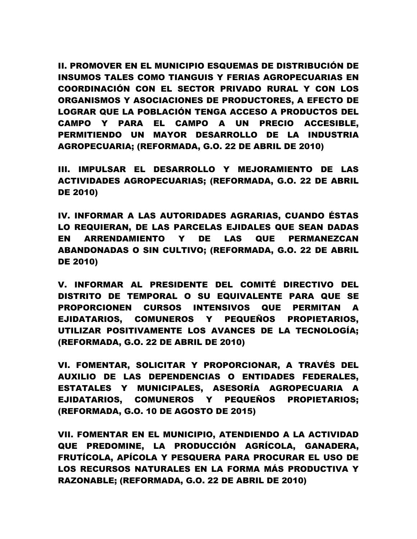II. PROMOVER EN EL MUNICIPIO ESQUEMAS DE DISTRIBUCIÓN DE INSUMOS TALES COMO TIANGUIS Y FERIAS AGROPECUARIAS EN COORDINACIÓN CON EL SECTOR PRIVADO RURAL Y CON LOS ORGANISMOS Y ASOCIACIONES DE PRODUCTORES, A EFECTO DE LOGRAR QUE LA POBLACIÓN TENGA ACCESO A PRODUCTOS DEL CAMPO Y PARA EL CAMPO A UN PRECIO ACCESIBLE, PERMITIENDO UN MAYOR DESARROLLO DE LA INDUSTRIA AGROPECUARIA; (REFORMADA, G.O. 22 DE ABRIL DE 2010)

III. IMPULSAR EL DESARROLLO Y MEJORAMIENTO DE LAS ACTIVIDADES AGROPECUARIAS; (REFORMADA, G.O. 22 DE ABRIL DE 2010)

IV. INFORMAR A LAS AUTORIDADES AGRARIAS, CUANDO ÉSTAS LO REQUIERAN, DE LAS PARCELAS EJIDALES QUE SEAN DADAS EN ARRENDAMIENTO Y DE LAS QUE PERMANEZCAN ABANDONADAS O SIN CULTIVO; (REFORMADA, G.O. 22 DE ABRIL DE 2010)

V. INFORMAR AL PRESIDENTE DEL COMITÉ DIRECTIVO DEL DISTRITO DE TEMPORAL O SU EQUIVALENTE PARA QUE SE PROPORCIONEN CURSOS INTENSIVOS QUE PERMITAN A EJIDATARIOS, COMUNEROS Y PEQUEÑOS PROPIETARIOS, UTILIZAR POSITIVAMENTE LOS AVANCES DE LA TECNOLOGÍA; (REFORMADA, G.O. 22 DE ABRIL DE 2010)

VI. FOMENTAR, SOLICITAR Y PROPORCIONAR, A TRAVÉS DEL AUXILIO DE LAS DEPENDENCIAS O ENTIDADES FEDERALES, ESTATALES Y MUNICIPALES, ASESORÍA AGROPECUARIA A EJIDATARIOS, COMUNEROS Y PEQUEÑOS PROPIETARIOS; (REFORMADA, G.O. 10 DE AGOSTO DE 2015)

VII. FOMENTAR EN EL MUNICIPIO, ATENDIENDO A LA ACTIVIDAD QUE PREDOMINE, LA PRODUCCIÓN AGRÍCOLA, GANADERA, FRUTÍCOLA, APÍCOLA Y PESQUERA PARA PROCURAR EL USO DE LOS RECURSOS NATURALES EN LA FORMA MÁS PRODUCTIVA Y RAZONABLE; (REFORMADA, G.O. 22 DE ABRIL DE 2010)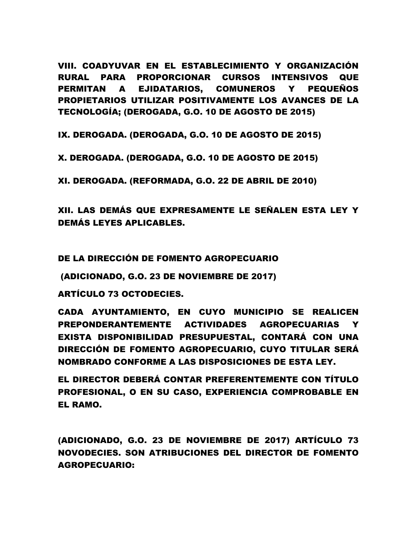VIII. COADYUVAR EN EL ESTABLECIMIENTO Y ORGANIZACIÓN RURAL PARA PROPORCIONAR CURSOS INTENSIVOS QUE PERMITAN A EJIDATARIOS, COMUNEROS Y PEQUEÑOS PROPIETARIOS UTILIZAR POSITIVAMENTE LOS AVANCES DE LA TECNOLOGÍA; (DEROGADA, G.O. 10 DE AGOSTO DE 2015)

IX. DEROGADA. (DEROGADA, G.O. 10 DE AGOSTO DE 2015)

X. DEROGADA. (DEROGADA, G.O. 10 DE AGOSTO DE 2015)

XI. DEROGADA. (REFORMADA, G.O. 22 DE ABRIL DE 2010)

XII. LAS DEMÁS QUE EXPRESAMENTE LE SEÑALEN ESTA LEY Y DEMÁS LEYES APLICABLES.

DE LA DIRECCIÓN DE FOMENTO AGROPECUARIO

(ADICIONADO, G.O. 23 DE NOVIEMBRE DE 2017)

ARTÍCULO 73 OCTODECIES.

CADA AYUNTAMIENTO, EN CUYO MUNICIPIO SE REALICEN PREPONDERANTEMENTE ACTIVIDADES AGROPECUARIAS EXISTA DISPONIBILIDAD PRESUPUESTAL, CONTARÁ CON UNA DIRECCIÓN DE FOMENTO AGROPECUARIO, CUYO TITULAR SERÁ NOMBRADO CONFORME A LAS DISPOSICIONES DE ESTA LEY.

EL DIRECTOR DEBERÁ CONTAR PREFERENTEMENTE CON TÍTULO PROFESIONAL, O EN SU CASO, EXPERIENCIA COMPROBABLE EN EL RAMO.

(ADICIONADO, G.O. 23 DE NOVIEMBRE DE 2017) ARTÍCULO 73 NOVODECIES. SON ATRIBUCIONES DEL DIRECTOR DE FOMENTO AGROPECUARIO: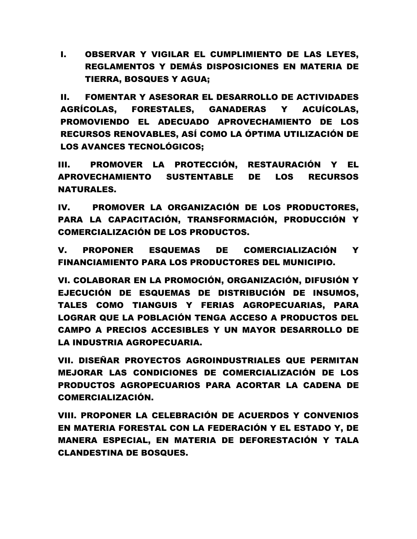I. OBSERVAR Y VIGILAR EL CUMPLIMIENTO DE LAS LEYES, REGLAMENTOS Y DEMÁS DISPOSICIONES EN MATERIA DE TIERRA, BOSQUES Y AGUA;

II. FOMENTAR Y ASESORAR EL DESARROLLO DE ACTIVIDADES AGRÍCOLAS, FORESTALES, GANADERAS Y ACUÍCOLAS, PROMOVIENDO EL ADECUADO APROVECHAMIENTO DE LOS RECURSOS RENOVABLES, ASÍ COMO LA ÓPTIMA UTILIZACIÓN DE LOS AVANCES TECNOLÓGICOS;

III. PROMOVER LA PROTECCIÓN, RESTAURACIÓN Y EL APROVECHAMIENTO SUSTENTABLE DE LOS RECURSOS NATURALES.

IV. PROMOVER LA ORGANIZACIÓN DE LOS PRODUCTORES, PARA LA CAPACITACIÓN, TRANSFORMACIÓN, PRODUCCIÓN Y COMERCIALIZACIÓN DE LOS PRODUCTOS.

V. PROPONER ESQUEMAS DE COMERCIALIZACIÓN Y FINANCIAMIENTO PARA LOS PRODUCTORES DEL MUNICIPIO.

VI. COLABORAR EN LA PROMOCIÓN, ORGANIZACIÓN, DIFUSIÓN Y EJECUCIÓN DE ESQUEMAS DE DISTRIBUCIÓN DE INSUMOS, TALES COMO TIANGUIS Y FERIAS AGROPECUARIAS, PARA LOGRAR QUE LA POBLACIÓN TENGA ACCESO A PRODUCTOS DEL CAMPO A PRECIOS ACCESIBLES Y UN MAYOR DESARROLLO DE LA INDUSTRIA AGROPECUARIA.

VII. DISEÑAR PROYECTOS AGROINDUSTRIALES QUE PERMITAN MEJORAR LAS CONDICIONES DE COMERCIALIZACIÓN DE LOS PRODUCTOS AGROPECUARIOS PARA ACORTAR LA CADENA DE COMERCIALIZACIÓN.

VIII. PROPONER LA CELEBRACIÓN DE ACUERDOS Y CONVENIOS EN MATERIA FORESTAL CON LA FEDERACIÓN Y EL ESTADO Y, DE MANERA ESPECIAL, EN MATERIA DE DEFORESTACIÓN Y TALA CLANDESTINA DE BOSQUES.